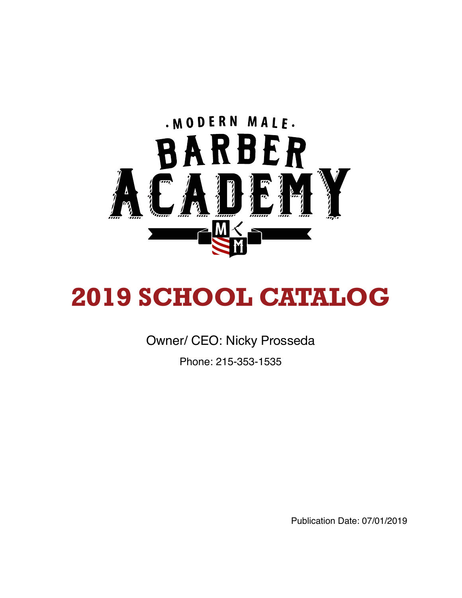

# **2019 SCHOOL CATALOG**

Owner/ CEO: Nicky Prosseda

Phone: 215-353-1535

Publication Date: 07/01/2019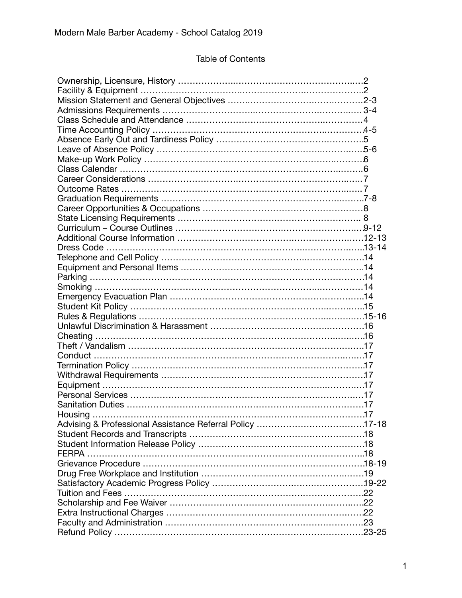# Table of Contents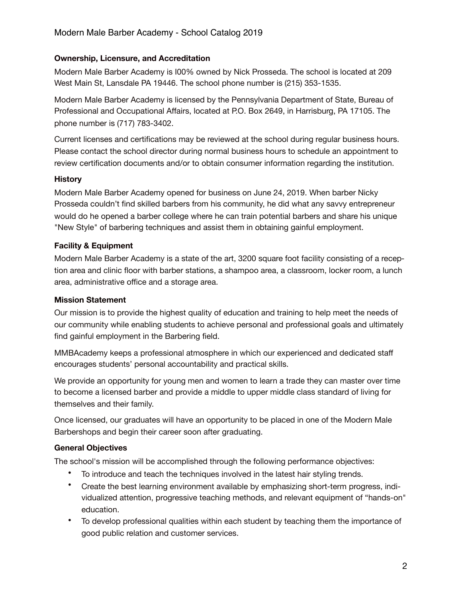## **Ownership, Licensure, and Accreditation**

Modern Male Barber Academy is I00% owned by Nick Prosseda. The school is located at 209 West Main St, Lansdale PA 19446. The school phone number is (215) 353-1535.

Modern Male Barber Academy is licensed by the Pennsylvania Department of State, Bureau of Professional and Occupational Affairs, located at P.O. Box 2649, in Harrisburg, PA 17105. The phone number is (717) 783-3402.

Current licenses and certifications may be reviewed at the school during regular business hours. Please contact the school director during normal business hours to schedule an appointment to review certification documents and/or to obtain consumer information regarding the institution.

#### **History**

Modern Male Barber Academy opened for business on June 24, 2019. When barber Nicky Prosseda couldn't find skilled barbers from his community, he did what any savvy entrepreneur would do he opened a barber college where he can train potential barbers and share his unique "New Style" of barbering techniques and assist them in obtaining gainful employment.

#### **Facility & Equipment**

Modern Male Barber Academy is a state of the art, 3200 square foot facility consisting of a reception area and clinic floor with barber stations, a shampoo area, a classroom, locker room, a lunch area, administrative office and a storage area.

#### **Mission Statement**

Our mission is to provide the highest quality of education and training to help meet the needs of our community while enabling students to achieve personal and professional goals and ultimately find gainful employment in the Barbering field.

MMBAcademy keeps a professional atmosphere in which our experienced and dedicated staff encourages students' personal accountability and practical skills.

We provide an opportunity for young men and women to learn a trade they can master over time to become a licensed barber and provide a middle to upper middle class standard of living for themselves and their family.

Once licensed, our graduates will have an opportunity to be placed in one of the Modern Male Barbershops and begin their career soon after graduating.

#### **General Objectives**

The school's mission will be accomplished through the following performance objectives:

- To introduce and teach the techniques involved in the latest hair styling trends.
- Create the best learning environment available by emphasizing short-term progress, individualized attention, progressive teaching methods, and relevant equipment of "hands-on" education.
- To develop professional qualities within each student by teaching them the importance of good public relation and customer services.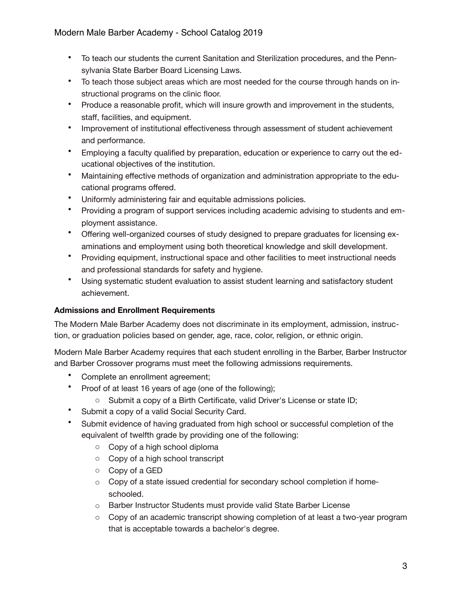- To teach our students the current Sanitation and Sterilization procedures, and the Pennsylvania State Barber Board Licensing Laws.
- To teach those subject areas which are most needed for the course through hands on instructional programs on the clinic floor.
- Produce a reasonable profit, which will insure growth and improvement in the students, staff, facilities, and equipment.
- Improvement of institutional effectiveness through assessment of student achievement and performance.
- Employing a faculty qualified by preparation, education or experience to carry out the educational objectives of the institution.
- Maintaining effective methods of organization and administration appropriate to the educational programs offered.
- Uniformly administering fair and equitable admissions policies.
- Providing a program of support services including academic advising to students and employment assistance.
- Offering well-organized courses of study designed to prepare graduates for licensing examinations and employment using both theoretical knowledge and skill development.
- Providing equipment, instructional space and other facilities to meet instructional needs and professional standards for safety and hygiene.
- Using systematic student evaluation to assist student learning and satisfactory student achievement.

#### **Admissions and Enrollment Requirements**

The Modern Male Barber Academy does not discriminate in its employment, admission, instruction, or graduation policies based on gender, age, race, color, religion, or ethnic origin.

Modern Male Barber Academy requires that each student enrolling in the Barber, Barber Instructor and Barber Crossover programs must meet the following admissions requirements.

- Complete an enrollment agreement;
- Proof of at least 16 years of age (one of the following);
	- o Submit a copy of a Birth Certificate, valid Driver's License or state ID;
- Submit a copy of a valid Social Security Card.
- Submit evidence of having graduated from high school or successful completion of the equivalent of twelfth grade by providing one of the following:
	- o Copy of a high school diploma
	- o Copy of a high school transcript
	- o Copy of a GED
	- o Copy of a state issued credential for secondary school completion if homeschooled.
	- o Barber Instructor Students must provide valid State Barber License
	- $\circ$  Copy of an academic transcript showing completion of at least a two-year program that is acceptable towards a bachelor's degree.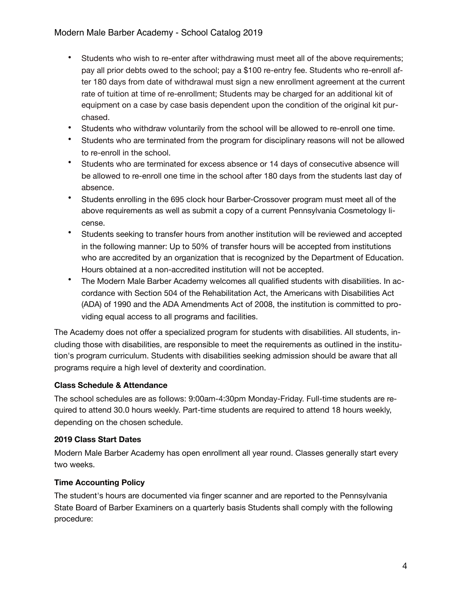- Students who wish to re-enter after withdrawing must meet all of the above requirements; pay all prior debts owed to the school; pay a \$100 re-entry fee. Students who re-enroll after 180 days from date of withdrawal must sign a new enrollment agreement at the current rate of tuition at time of re-enrollment; Students may be charged for an additional kit of equipment on a case by case basis dependent upon the condition of the original kit purchased.
- Students who withdraw voluntarily from the school will be allowed to re-enroll one time.
- Students who are terminated from the program for disciplinary reasons will not be allowed to re-enroll in the school.
- Students who are terminated for excess absence or 14 days of consecutive absence will be allowed to re-enroll one time in the school after 180 days from the students last day of absence.
- Students enrolling in the 695 clock hour Barber-Crossover program must meet all of the above requirements as well as submit a copy of a current Pennsylvania Cosmetology license.
- Students seeking to transfer hours from another institution will be reviewed and accepted in the following manner: Up to 50% of transfer hours will be accepted from institutions who are accredited by an organization that is recognized by the Department of Education. Hours obtained at a non-accredited institution will not be accepted.
- The Modern Male Barber Academy welcomes all qualified students with disabilities. In accordance with Section 504 of the Rehabilitation Act, the Americans with Disabilities Act (ADA) of 1990 and the ADA Amendments Act of 2008, the institution is committed to providing equal access to all programs and facilities.

The Academy does not offer a specialized program for students with disabilities. All students, including those with disabilities, are responsible to meet the requirements as outlined in the institution's program curriculum. Students with disabilities seeking admission should be aware that all programs require a high level of dexterity and coordination.

#### **Class Schedule & Attendance**

The school schedules are as follows: 9:00am-4:30pm Monday-Friday. Full-time students are required to attend 30.0 hours weekly. Part-time students are required to attend 18 hours weekly, depending on the chosen schedule.

#### **2019 Class Start Dates**

Modern Male Barber Academy has open enrollment all year round. Classes generally start every two weeks.

#### **Time Accounting Policy**

The student's hours are documented via finger scanner and are reported to the Pennsylvania State Board of Barber Examiners on a quarterly basis Students shall comply with the following procedure: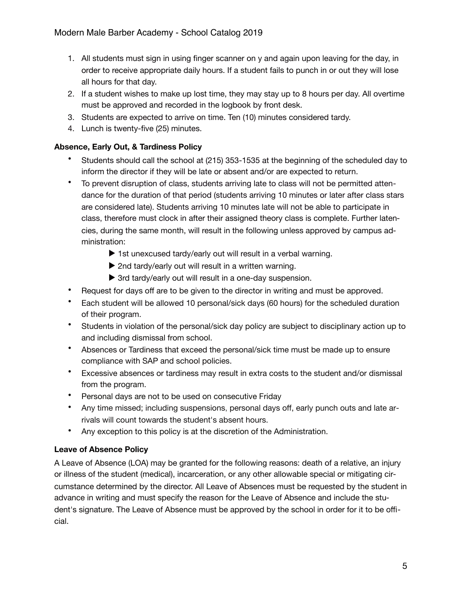- 1. All students must sign in using finger scanner on y and again upon leaving for the day, in order to receive appropriate daily hours. If a student fails to punch in or out they will lose all hours for that day.
- 2. If a student wishes to make up lost time, they may stay up to 8 hours per day. All overtime must be approved and recorded in the logbook by front desk.
- 3. Students are expected to arrive on time. Ten (10) minutes considered tardy.
- 4. Lunch is twenty-five (25) minutes.

## **Absence, Early Out, & Tardiness Policy**

- Students should call the school at (215) 353-1535 at the beginning of the scheduled day to inform the director if they will be late or absent and/or are expected to return.
- To prevent disruption of class, students arriving late to class will not be permitted attendance for the duration of that period (students arriving 10 minutes or later after class stars are considered late). Students arriving 10 minutes late will not be able to participate in class, therefore must clock in after their assigned theory class is complete. Further latencies, during the same month, will result in the following unless approved by campus administration:
	- ▶ 1st unexcused tardy/early out will result in a verbal warning.
	- ▶ 2nd tardy/early out will result in a written warning.
	- ▶ 3rd tardy/early out will result in a one-day suspension.
- Request for days off are to be given to the director in writing and must be approved.
- Each student will be allowed 10 personal/sick days (60 hours) for the scheduled duration of their program.
- Students in violation of the personal/sick day policy are subject to disciplinary action up to and including dismissal from school.
- Absences or Tardiness that exceed the personal/sick time must be made up to ensure compliance with SAP and school policies.
- Excessive absences or tardiness may result in extra costs to the student and/or dismissal from the program.
- Personal days are not to be used on consecutive Friday
- Any time missed; including suspensions, personal days off, early punch outs and late arrivals will count towards the student's absent hours.
- Any exception to this policy is at the discretion of the Administration.

# **Leave of Absence Policy**

A Leave of Absence (LOA) may be granted for the following reasons: death of a relative, an injury or illness of the student (medical), incarceration, or any other allowable special or mitigating circumstance determined by the director. All Leave of Absences must be requested by the student in advance in writing and must specify the reason for the Leave of Absence and include the student's signature. The Leave of Absence must be approved by the school in order for it to be official.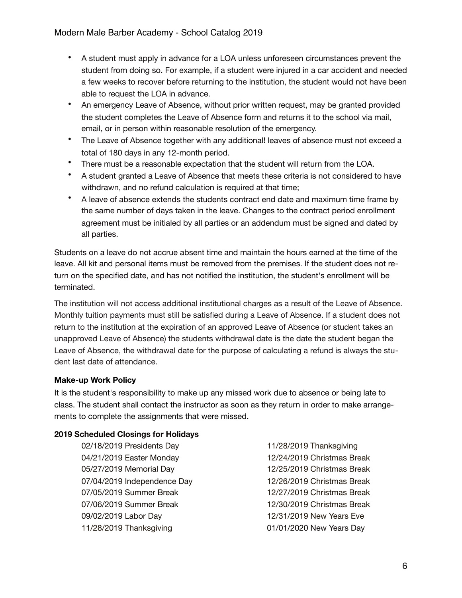- A student must apply in advance for a LOA unless unforeseen circumstances prevent the student from doing so. For example, if a student were injured in a car accident and needed a few weeks to recover before returning to the institution, the student would not have been able to request the LOA in advance.
- An emergency Leave of Absence, without prior written request, may be granted provided the student completes the Leave of Absence form and returns it to the school via mail, email, or in person within reasonable resolution of the emergency.
- The Leave of Absence together with any additional! leaves of absence must not exceed a total of 180 days in any 12-month period.
- There must be a reasonable expectation that the student will return from the LOA.
- A student granted a Leave of Absence that meets these criteria is not considered to have withdrawn, and no refund calculation is required at that time;
- A leave of absence extends the students contract end date and maximum time frame by the same number of days taken in the leave. Changes to the contract period enrollment agreement must be initialed by all parties or an addendum must be signed and dated by all parties.

Students on a leave do not accrue absent time and maintain the hours earned at the time of the leave. All kit and personal items must be removed from the premises. If the student does not return on the specified date, and has not notified the institution, the student's enrollment will be terminated.

The institution will not access additional institutional charges as a result of the Leave of Absence. Monthly tuition payments must still be satisfied during a Leave of Absence. If a student does not return to the institution at the expiration of an approved Leave of Absence (or student takes an unapproved Leave of Absence) the students withdrawal date is the date the student began the Leave of Absence, the withdrawal date for the purpose of calculating a refund is always the student last date of attendance.

# **Make-up Work Policy**

It is the student's responsibility to make up any missed work due to absence or being late to class. The student shall contact the instructor as soon as they return in order to make arrangements to complete the assignments that were missed.

#### **2019 Scheduled Closings for Holidays**

02/18/2019 Presidents Day 04/21/2019 Easter Monday 05/27/2019 Memorial Day 07/04/2019 Independence Day 07/05/2019 Summer Break 07/06/2019 Summer Break 09/02/2019 Labor Day 11/28/2019 Thanksgiving

11/28/2019 Thanksgiving 12/24/2019 Christmas Break 12/25/2019 Christmas Break 12/26/2019 Christmas Break 12/27/2019 Christmas Break 12/30/2019 Christmas Break 12/31/2019 New Years Eve 01/01/2020 New Years Day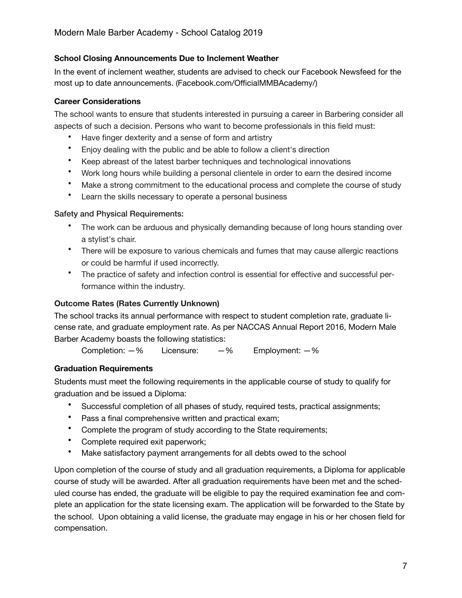#### **School Closing Announcements Due to Inclement Weather**

In the event of inclement weather, students are advised to check our Facebook Newsfeed for the most up to date announcements. (Facebook.com/OfficialMMBAcademy/)

#### **Career Considerations**

The school wants to ensure that students interested in pursuing a career in Barbering consider all aspects of such a decision. Persons who want to become professionals in this field must:

- Have finger dexterity and a sense of form and artistry
- Enjoy dealing with the public and be able to follow a client's direction
- Keep abreast of the latest barber techniques and technological innovations
- Work long hours while building a personal clientele in order to earn the desired income
- Make a strong commitment to the educational process and complete the course of study
- Learn the skills necessary to operate a personal business

#### Safety and Physical Requirements:

- The work can be arduous and physically demanding because of long hours standing over a stylist's chair.
- There will be exposure to various chemicals and fumes that may cause allergic reactions or could be harmful if used incorrectly.
- The practice of safety and infection control is essential for effective and successful performance within the industry.

#### **Outcome Rates (Rates Currently Unknown)**

The school tracks its annual performance with respect to student completion rate, graduate license rate, and graduate employment rate. As per NACCAS Annual Report 2016, Modern Male Barber Academy boasts the following statistics:

Completion:  $-$ % Licensure:  $-$ % Employment:  $-$ %

#### **Graduation Requirements**

Students must meet the following requirements in the applicable course of study to qualify for graduation and be issued a Diploma:

- Successful completion of all phases of study, required tests, practical assignments;
- Pass a final comprehensive written and practical exam;
- Complete the program of study according to the State requirements;
- Complete required exit paperwork;
- Make satisfactory payment arrangements for all debts owed to the school

Upon completion of the course of study and all graduation requirements, a Diploma for applicable course of study will be awarded. After all graduation requirements have been met and the scheduled course has ended, the graduate will be eligible to pay the required examination fee and complete an application for the state licensing exam. The application will be forwarded to the State by the school. Upon obtaining a valid license, the graduate may engage in his or her chosen field for compensation.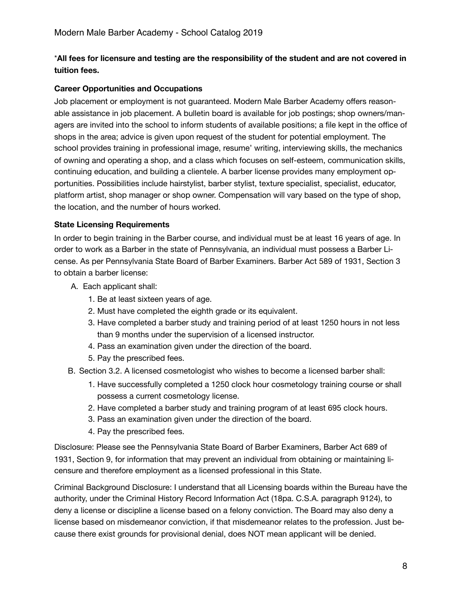## \***All fees for licensure and testing are the responsibility of the student and are not covered in tuition fees.**

#### **Career Opportunities and Occupations**

Job placement or employment is not guaranteed. Modern Male Barber Academy offers reasonable assistance in job placement. A bulletin board is available for job postings; shop owners/managers are invited into the school to inform students of available positions; a file kept in the office of shops in the area; advice is given upon request of the student for potential employment. The school provides training in professional image, resume' writing, interviewing skills, the mechanics of owning and operating a shop, and a class which focuses on self-esteem, communication skills, continuing education, and building a clientele. A barber license provides many employment opportunities. Possibilities include hairstylist, barber stylist, texture specialist, specialist, educator, platform artist, shop manager or shop owner. Compensation will vary based on the type of shop, the location, and the number of hours worked.

#### **State Licensing Requirements**

In order to begin training in the Barber course, and individual must be at least 16 years of age. In order to work as a Barber in the state of Pennsylvania, an individual must possess a Barber License. As per Pennsylvania State Board of Barber Examiners. Barber Act 589 of 1931, Section 3 to obtain a barber license:

- A. Each applicant shall:
	- 1. Be at least sixteen years of age.
	- 2. Must have completed the eighth grade or its equivalent.
	- 3. Have completed a barber study and training period of at least 1250 hours in not less than 9 months under the supervision of a licensed instructor.
	- 4. Pass an examination given under the direction of the board.
	- 5. Pay the prescribed fees.
- B. Section 3.2. A licensed cosmetologist who wishes to become a licensed barber shall:
	- 1. Have successfully completed a 1250 clock hour cosmetology training course or shall possess a current cosmetology license.
	- 2. Have completed a barber study and training program of at least 695 clock hours.
	- 3. Pass an examination given under the direction of the board.
	- 4. Pay the prescribed fees.

Disclosure: Please see the Pennsylvania State Board of Barber Examiners, Barber Act 689 of 1931, Section 9, for information that may prevent an individual from obtaining or maintaining licensure and therefore employment as a licensed professional in this State.

Criminal Background Disclosure: I understand that all Licensing boards within the Bureau have the authority, under the Criminal History Record Information Act (18pa. C.S.A. paragraph 9124), to deny a license or discipline a license based on a felony conviction. The Board may also deny a license based on misdemeanor conviction, if that misdemeanor relates to the profession. Just because there exist grounds for provisional denial, does NOT mean applicant will be denied.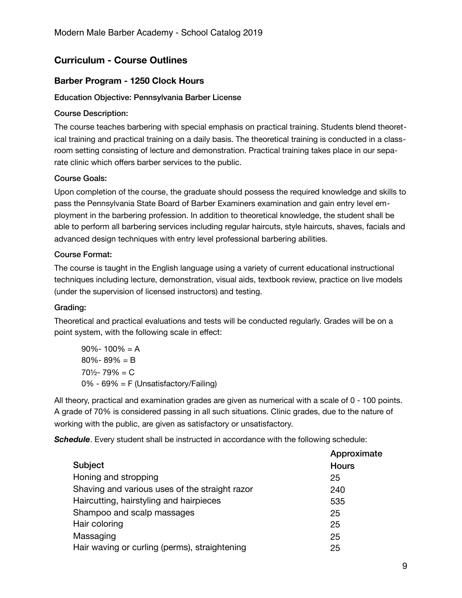# **Curriculum - Course Outlines**

## **Barber Program - 1250 Clock Hours**

#### Education Objective: Pennsylvania Barber License

#### Course Description:

The course teaches barbering with special emphasis on practical training. Students blend theoretical training and practical training on a daily basis. The theoretical training is conducted in a classroom setting consisting of lecture and demonstration. Practical training takes place in our separate clinic which offers barber services to the public.

#### Course Goals:

Upon completion of the course, the graduate should possess the required knowledge and skills to pass the Pennsylvania State Board of Barber Examiners examination and gain entry level employment in the barbering profession. In addition to theoretical knowledge, the student shall be able to perform all barbering services including regular haircuts, style haircuts, shaves, facials and advanced design techniques with entry level professional barbering abilities.

#### Course Format:

The course is taught in the English language using a variety of current educational instructional techniques including lecture, demonstration, visual aids, textbook review, practice on live models (under the supervision of licensed instructors) and testing.

#### Grading:

Theoretical and practical evaluations and tests will be conducted regularly. Grades will be on a point system, with the following scale in effect:

| $90\% - 100\% = A$                       |
|------------------------------------------|
| $80\% - 89\% = B$                        |
| $70\frac{1}{2} - 79\% = C$               |
| $0\%$ - 69% = F (Unsatisfactory/Failing) |

All theory, practical and examination grades are given as numerical with a scale of 0 - 100 points. A grade of 70% is considered passing in all such situations. Clinic grades, due to the nature of working with the public, are given as satisfactory or unsatisfactory.

**Schedule**. Every student shall be instructed in accordance with the following schedule:

|                                                | Approximate  |
|------------------------------------------------|--------------|
| Subject                                        | <b>Hours</b> |
| Honing and stropping                           | 25           |
| Shaving and various uses of the straight razor | 240          |
| Haircutting, hairstyling and hairpieces        | 535          |
| Shampoo and scalp massages                     | 25           |
| Hair coloring                                  | 25           |
| Massaging                                      | 25           |
| Hair waving or curling (perms), straightening  | 25           |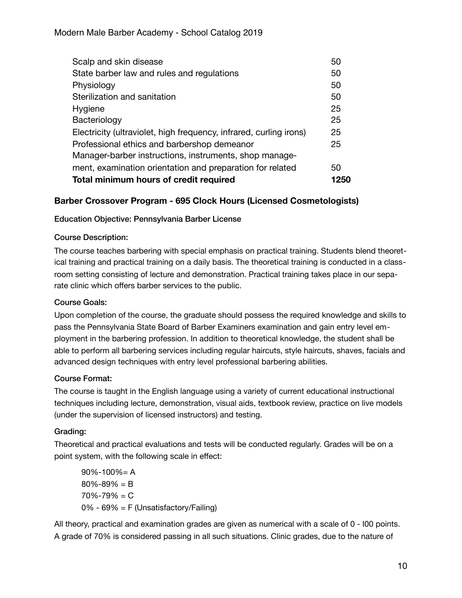| Scalp and skin disease                                             | 50   |
|--------------------------------------------------------------------|------|
| State barber law and rules and regulations                         | 50   |
| Physiology                                                         | 50   |
| Sterilization and sanitation                                       | 50   |
| Hygiene                                                            | 25   |
| Bacteriology                                                       | 25   |
| Electricity (ultraviolet, high frequency, infrared, curling irons) | 25   |
| Professional ethics and barbershop demeanor                        | 25   |
| Manager-barber instructions, instruments, shop manage-             |      |
| ment, examination orientation and preparation for related          | 50   |
| Total minimum hours of credit required                             | 1250 |

# **Barber Crossover Program - 695 Clock Hours (Licensed Cosmetologists)**

#### Education Objective: Pennsylvania Barber License

#### Course Description:

The course teaches barbering with special emphasis on practical training. Students blend theoretical training and practical training on a daily basis. The theoretical training is conducted in a classroom setting consisting of lecture and demonstration. Practical training takes place in our separate clinic which offers barber services to the public.

#### Course Goals:

Upon completion of the course, the graduate should possess the required knowledge and skills to pass the Pennsylvania State Board of Barber Examiners examination and gain entry level employment in the barbering profession. In addition to theoretical knowledge, the student shall be able to perform all barbering services including regular haircuts, style haircuts, shaves, facials and advanced design techniques with entry level professional barbering abilities.

#### Course Format:

The course is taught in the English language using a variety of current educational instructional techniques including lecture, demonstration, visual aids, textbook review, practice on live models (under the supervision of licensed instructors) and testing.

#### Grading:

Theoretical and practical evaluations and tests will be conducted regularly. Grades will be on a point system, with the following scale in effect:

 $90\% - 100\% = A$  $80\% - 89\% = B$  $70\% - 79\% = C$ 0% - 69% = F (Unsatisfactory/Failing)

All theory, practical and examination grades are given as numerical with a scale of 0 - I00 points. A grade of 70% is considered passing in all such situations. Clinic grades, due to the nature of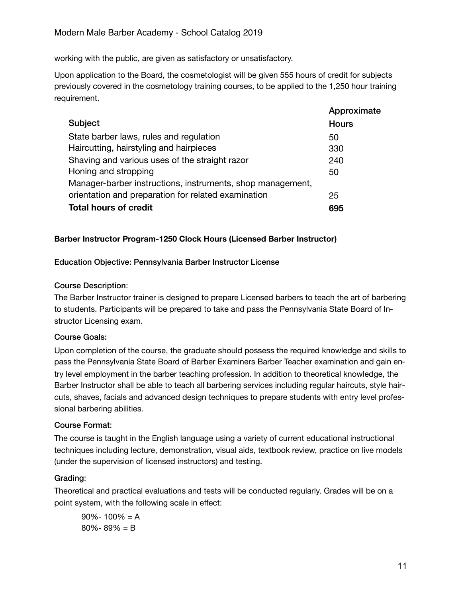working with the public, are given as satisfactory or unsatisfactory.

Upon application to the Board, the cosmetologist will be given 555 hours of credit for subjects previously covered in the cosmetology training courses, to be applied to the 1,250 hour training requirement.

|                                                            | Approximate  |
|------------------------------------------------------------|--------------|
| Subject                                                    | <b>Hours</b> |
| State barber laws, rules and regulation                    | 50           |
| Haircutting, hairstyling and hairpieces                    | 330          |
| Shaving and various uses of the straight razor             | 240          |
| Honing and stropping                                       | 50           |
| Manager-barber instructions, instruments, shop management, |              |
| orientation and preparation for related examination        | 25           |
| <b>Total hours of credit</b>                               | 695          |

## **Barber Instructor Program-1250 Clock Hours (Licensed Barber Instructor)**

Education Objective: Pennsylvania Barber Instructor License

#### Course Description:

The Barber Instructor trainer is designed to prepare Licensed barbers to teach the art of barbering to students. Participants will be prepared to take and pass the Pennsylvania State Board of Instructor Licensing exam.

#### Course Goals:

Upon completion of the course, the graduate should possess the required knowledge and skills to pass the Pennsylvania State Board of Barber Examiners Barber Teacher examination and gain entry level employment in the barber teaching profession. In addition to theoretical knowledge, the Barber Instructor shall be able to teach all barbering services including regular haircuts, style haircuts, shaves, facials and advanced design techniques to prepare students with entry level professional barbering abilities.

#### Course Format:

The course is taught in the English language using a variety of current educational instructional techniques including lecture, demonstration, visual aids, textbook review, practice on live models (under the supervision of licensed instructors) and testing.

#### Grading:

Theoretical and practical evaluations and tests will be conducted regularly. Grades will be on a point system, with the following scale in effect:

 $90\% - 100\% = A$ 80%- 89% = B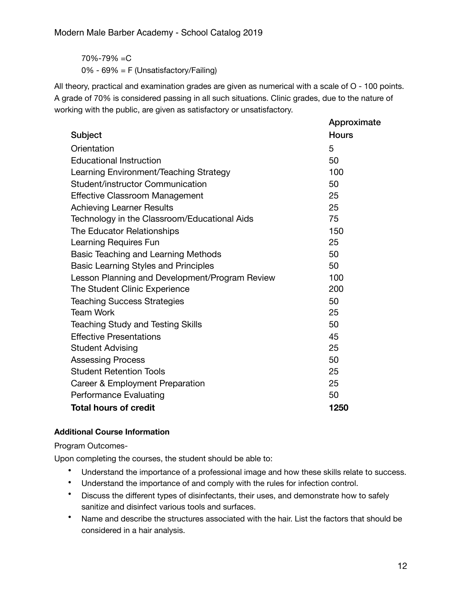70%-79% =C 0% - 69% = F (Unsatisfactory/Failing)

All theory, practical and examination grades are given as numerical with a scale of O - 100 points. A grade of 70% is considered passing in all such situations. Clinic grades, due to the nature of working with the public, are given as satisfactory or unsatisfactory.

|                                                | Approximate  |
|------------------------------------------------|--------------|
| Subject                                        | <b>Hours</b> |
| Orientation                                    | 5            |
| <b>Educational Instruction</b>                 | 50           |
| Learning Environment/Teaching Strategy         | 100          |
| Student/instructor Communication               | 50           |
| <b>Effective Classroom Management</b>          | 25           |
| <b>Achieving Learner Results</b>               | 25           |
| Technology in the Classroom/Educational Aids   | 75           |
| The Educator Relationships                     | 150          |
| Learning Requires Fun                          | 25           |
| Basic Teaching and Learning Methods            | 50           |
| <b>Basic Learning Styles and Principles</b>    | 50           |
| Lesson Planning and Development/Program Review | 100          |
| The Student Clinic Experience                  | 200          |
| <b>Teaching Success Strategies</b>             | 50           |
| <b>Team Work</b>                               | 25           |
| <b>Teaching Study and Testing Skills</b>       | 50           |
| <b>Effective Presentations</b>                 | 45           |
| <b>Student Advising</b>                        | 25           |
| <b>Assessing Process</b>                       | 50           |
| <b>Student Retention Tools</b>                 | 25           |
| Career & Employment Preparation                | 25           |
| <b>Performance Evaluating</b>                  | 50           |
| <b>Total hours of credit</b>                   | 1250         |

# **Additional Course Information**

Program Outcomes-

Upon completing the courses, the student should be able to:

- Understand the importance of a professional image and how these skills relate to success.
- Understand the importance of and comply with the rules for infection control.
- Discuss the different types of disinfectants, their uses, and demonstrate how to safely sanitize and disinfect various tools and surfaces.
- Name and describe the structures associated with the hair. List the factors that should be considered in a hair analysis.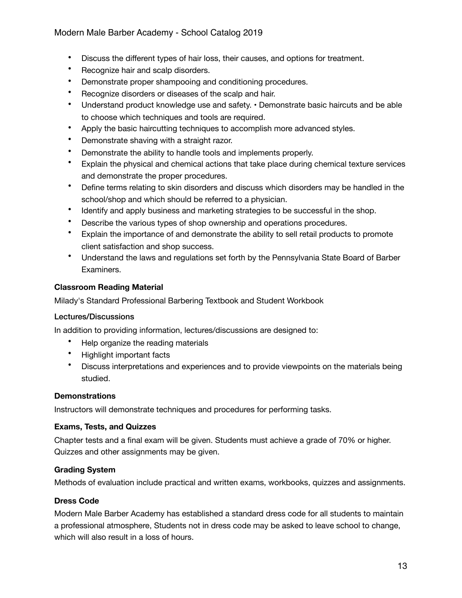## Modern Male Barber Academy - School Catalog 2019

- Discuss the different types of hair loss, their causes, and options for treatment.
- Recognize hair and scalp disorders.
- Demonstrate proper shampooing and conditioning procedures.
- Recognize disorders or diseases of the scalp and hair.
- Understand product knowledge use and safety. Demonstrate basic haircuts and be able to choose which techniques and tools are required.
- Apply the basic haircutting techniques to accomplish more advanced styles.
- Demonstrate shaving with a straight razor.
- Demonstrate the ability to handle tools and implements properly.
- Explain the physical and chemical actions that take place during chemical texture services and demonstrate the proper procedures.
- Define terms relating to skin disorders and discuss which disorders may be handled in the school/shop and which should be referred to a physician.
- Identify and apply business and marketing strategies to be successful in the shop.
- Describe the various types of shop ownership and operations procedures.
- Explain the importance of and demonstrate the ability to sell retail products to promote client satisfaction and shop success.
- Understand the laws and regulations set forth by the Pennsylvania State Board of Barber Examiners.

#### **Classroom Reading Material**

Milady's Standard Professional Barbering Textbook and Student Workbook

#### Lectures/Discussions

In addition to providing information, lectures/discussions are designed to:

- Help organize the reading materials
- Highlight important facts
- Discuss interpretations and experiences and to provide viewpoints on the materials being studied.

#### **Demonstrations**

Instructors will demonstrate techniques and procedures for performing tasks.

#### **Exams, Tests, and Quizzes**

Chapter tests and a final exam will be given. Students must achieve a grade of 70% or higher. Quizzes and other assignments may be given.

#### **Grading System**

Methods of evaluation include practical and written exams, workbooks, quizzes and assignments.

#### **Dress Code**

Modern Male Barber Academy has established a standard dress code for all students to maintain a professional atmosphere, Students not in dress code may be asked to leave school to change, which will also result in a loss of hours.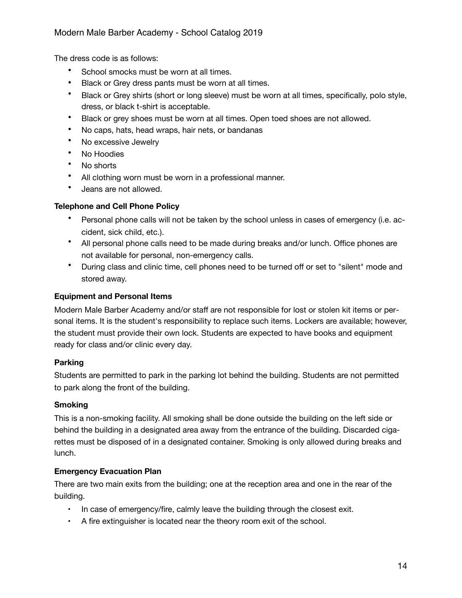The dress code is as follows:

- School smocks must be worn at all times.
- Black or Grey dress pants must be worn at all times.
- Black or Grey shirts (short or long sleeve) must be worn at all times, specifically, polo style, dress, or black t-shirt is acceptable.
- Black or grey shoes must be worn at all times. Open toed shoes are not allowed.
- No caps, hats, head wraps, hair nets, or bandanas
- No excessive Jewelry
- No Hoodies
- No shorts
- All clothing worn must be worn in a professional manner.
- Jeans are not allowed.

#### **Telephone and Cell Phone Policy**

- Personal phone calls will not be taken by the school unless in cases of emergency (i.e. accident, sick child, etc.).
- All personal phone calls need to be made during breaks and/or lunch. Office phones are not available for personal, non-emergency calls.
- During class and clinic time, cell phones need to be turned off or set to "silent" mode and stored away.

## **Equipment and Personal Items**

Modern Male Barber Academy and/or staff are not responsible for lost or stolen kit items or personal items. It is the student's responsibility to replace such items. Lockers are available; however, the student must provide their own lock. Students are expected to have books and equipment ready for class and/or clinic every day.

#### **Parking**

Students are permitted to park in the parking lot behind the building. Students are not permitted to park along the front of the building.

#### **Smoking**

This is a non-smoking facility. All smoking shall be done outside the building on the left side or behind the building in a designated area away from the entrance of the building. Discarded cigarettes must be disposed of in a designated container. Smoking is only allowed during breaks and lunch.

#### **Emergency Evacuation Plan**

There are two main exits from the building; one at the reception area and one in the rear of the building.

- In case of emergency/fire, calmly leave the building through the closest exit.
- A fire extinguisher is located near the theory room exit of the school.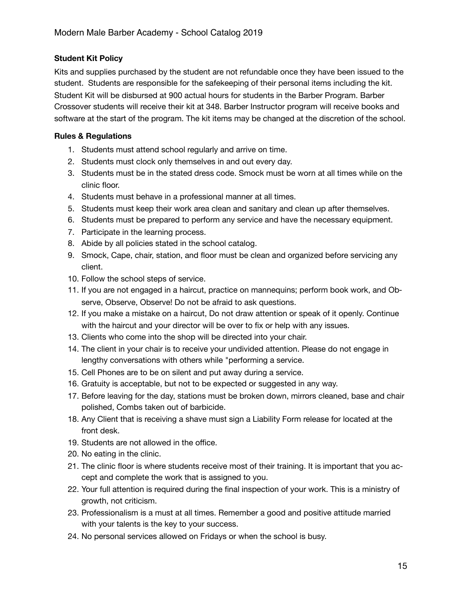## **Student Kit Policy**

Kits and supplies purchased by the student are not refundable once they have been issued to the student. Students are responsible for the safekeeping of their personal items including the kit. Student Kit will be disbursed at 900 actual hours for students in the Barber Program. Barber Crossover students will receive their kit at 348. Barber Instructor program will receive books and software at the start of the program. The kit items may be changed at the discretion of the school.

## **Rules & Regulations**

- 1. Students must attend school regularly and arrive on time.
- 2. Students must clock only themselves in and out every day.
- 3. Students must be in the stated dress code. Smock must be worn at all times while on the clinic floor.
- 4. Students must behave in a professional manner at all times.
- 5. Students must keep their work area clean and sanitary and clean up after themselves.
- 6. Students must be prepared to perform any service and have the necessary equipment.
- 7. Participate in the learning process.
- 8. Abide by all policies stated in the school catalog.
- 9. Smock, Cape, chair, station, and floor must be clean and organized before servicing any client.
- 10. Follow the school steps of service.
- 11. If you are not engaged in a haircut, practice on mannequins; perform book work, and Observe, Observe, Observe! Do not be afraid to ask questions.
- 12. If you make a mistake on a haircut, Do not draw attention or speak of it openly. Continue with the haircut and your director will be over to fix or help with any issues.
- 13. Clients who come into the shop will be directed into your chair.
- 14. The client in your chair is to receive your undivided attention. Please do not engage in lengthy conversations with others while "performing a service.
- 15. Cell Phones are to be on silent and put away during a service.
- 16. Gratuity is acceptable, but not to be expected or suggested in any way.
- 17. Before leaving for the day, stations must be broken down, mirrors cleaned, base and chair polished, Combs taken out of barbicide.
- 18. Any Client that is receiving a shave must sign a Liability Form release for located at the front desk.
- 19. Students are not allowed in the office.
- 20. No eating in the clinic.
- 21. The clinic floor is where students receive most of their training. It is important that you accept and complete the work that is assigned to you.
- 22. Your full attention is required during the final inspection of your work. This is a ministry of growth, not criticism.
- 23. Professionalism is a must at all times. Remember a good and positive attitude married with your talents is the key to your success.
- 24. No personal services allowed on Fridays or when the school is busy.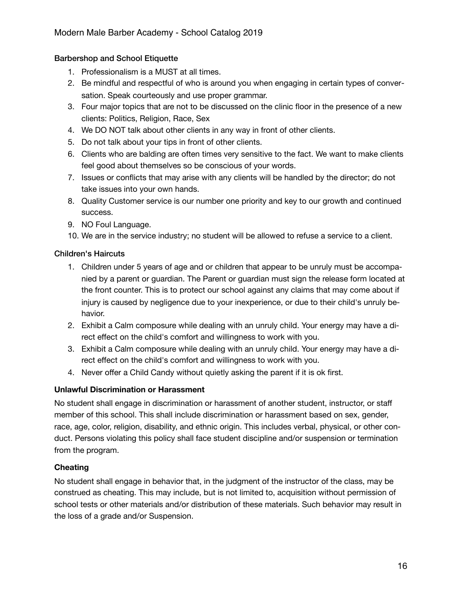## Barbershop and School Etiquette

- 1. Professionalism is a MUST at all times.
- 2. Be mindful and respectful of who is around you when engaging in certain types of conversation. Speak courteously and use proper grammar.
- 3. Four major topics that are not to be discussed on the clinic floor in the presence of a new clients: Politics, Religion, Race, Sex
- 4. We DO NOT talk about other clients in any way in front of other clients.
- 5. Do not talk about your tips in front of other clients.
- 6. Clients who are balding are often times very sensitive to the fact. We want to make clients feel good about themselves so be conscious of your words.
- 7. Issues or conflicts that may arise with any clients will be handled by the director; do not take issues into your own hands.
- 8. Quality Customer service is our number one priority and key to our growth and continued success.
- 9. NO Foul Language.
- 10. We are in the service industry; no student will be allowed to refuse a service to a client.

#### Children's Haircuts

- 1. Children under 5 years of age and or children that appear to be unruly must be accompanied by a parent or guardian. The Parent or guardian must sign the release form located at the front counter. This is to protect our school against any claims that may come about if injury is caused by negligence due to your inexperience, or due to their child's unruly behavior.
- 2. Exhibit a Calm composure while dealing with an unruly child. Your energy may have a direct effect on the child's comfort and willingness to work with you.
- 3. Exhibit a Calm composure while dealing with an unruly child. Your energy may have a direct effect on the child's comfort and willingness to work with you.
- 4. Never offer a Child Candy without quietly asking the parent if it is ok first.

#### **Unlawful Discrimination or Harassment**

No student shall engage in discrimination or harassment of another student, instructor, or staff member of this school. This shall include discrimination or harassment based on sex, gender, race, age, color, religion, disability, and ethnic origin. This includes verbal, physical, or other conduct. Persons violating this policy shall face student discipline and/or suspension or termination from the program.

#### **Cheating**

No student shall engage in behavior that, in the judgment of the instructor of the class, may be construed as cheating. This may include, but is not limited to, acquisition without permission of school tests or other materials and/or distribution of these materials. Such behavior may result in the loss of a grade and/or Suspension.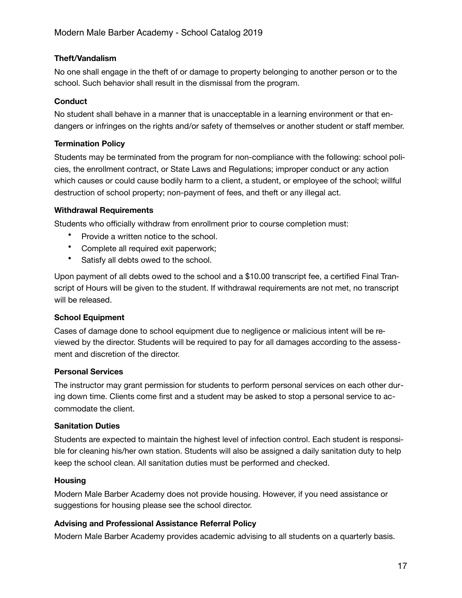#### **Theft/Vandalism**

No one shall engage in the theft of or damage to property belonging to another person or to the school. Such behavior shall result in the dismissal from the program.

## **Conduct**

No student shall behave in a manner that is unacceptable in a learning environment or that endangers or infringes on the rights and/or safety of themselves or another student or staff member.

## **Termination Policy**

Students may be terminated from the program for non-compliance with the following: school policies, the enrollment contract, or State Laws and Regulations; improper conduct or any action which causes or could cause bodily harm to a client, a student, or employee of the school; willful destruction of school property; non-payment of fees, and theft or any illegal act.

#### **Withdrawal Requirements**

Students who officially withdraw from enrollment prior to course completion must:

- Provide a written notice to the school.
- Complete all required exit paperwork;
- Satisfy all debts owed to the school.

Upon payment of all debts owed to the school and a \$10.00 transcript fee, a certified Final Transcript of Hours will be given to the student. If withdrawal requirements are not met, no transcript will be released.

#### **School Equipment**

Cases of damage done to school equipment due to negligence or malicious intent will be reviewed by the director. Students will be required to pay for all damages according to the assessment and discretion of the director.

#### **Personal Services**

The instructor may grant permission for students to perform personal services on each other during down time. Clients come first and a student may be asked to stop a personal service to accommodate the client.

#### **Sanitation Duties**

Students are expected to maintain the highest level of infection control. Each student is responsible for cleaning his/her own station. Students will also be assigned a daily sanitation duty to help keep the school clean. All sanitation duties must be performed and checked.

#### **Housing**

Modern Male Barber Academy does not provide housing. However, if you need assistance or suggestions for housing please see the school director.

#### **Advising and Professional Assistance Referral Policy**

Modern Male Barber Academy provides academic advising to all students on a quarterly basis.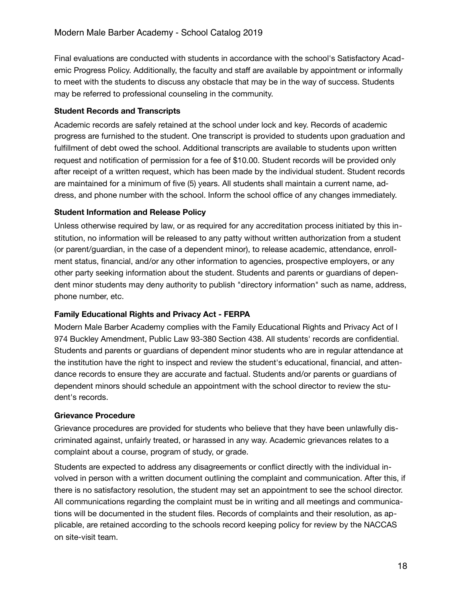Final evaluations are conducted with students in accordance with the school's Satisfactory Academic Progress Policy. Additionally, the faculty and staff are available by appointment or informally to meet with the students to discuss any obstacle that may be in the way of success. Students may be referred to professional counseling in the community.

#### **Student Records and Transcripts**

Academic records are safely retained at the school under lock and key. Records of academic progress are furnished to the student. One transcript is provided to students upon graduation and fulfillment of debt owed the school. Additional transcripts are available to students upon written request and notification of permission for a fee of \$10.00. Student records will be provided only after receipt of a written request, which has been made by the individual student. Student records are maintained for a minimum of five (5) years. All students shall maintain a current name, address, and phone number with the school. Inform the school office of any changes immediately.

#### **Student Information and Release Policy**

Unless otherwise required by law, or as required for any accreditation process initiated by this institution, no information will be released to any patty without written authorization from a student (or parent/guardian, in the case of a dependent minor), to release academic, attendance, enrollment status, financial, and/or any other information to agencies, prospective employers, or any other party seeking information about the student. Students and parents or guardians of dependent minor students may deny authority to publish "directory information" such as name, address, phone number, etc.

#### **Family Educational Rights and Privacy Act - FERPA**

Modern Male Barber Academy complies with the Family Educational Rights and Privacy Act of I 974 Buckley Amendment, Public Law 93-380 Section 438. All students' records are confidential. Students and parents or guardians of dependent minor students who are in regular attendance at the institution have the right to inspect and review the student's educational, financial, and attendance records to ensure they are accurate and factual. Students and/or parents or guardians of dependent minors should schedule an appointment with the school director to review the student's records.

#### **Grievance Procedure**

Grievance procedures are provided for students who believe that they have been unlawfully discriminated against, unfairly treated, or harassed in any way. Academic grievances relates to a complaint about a course, program of study, or grade.

Students are expected to address any disagreements or conflict directly with the individual involved in person with a written document outlining the complaint and communication. After this, if there is no satisfactory resolution, the student may set an appointment to see the school director. All communications regarding the complaint must be in writing and all meetings and communications will be documented in the student files. Records of complaints and their resolution, as applicable, are retained according to the schools record keeping policy for review by the NACCAS on site-visit team.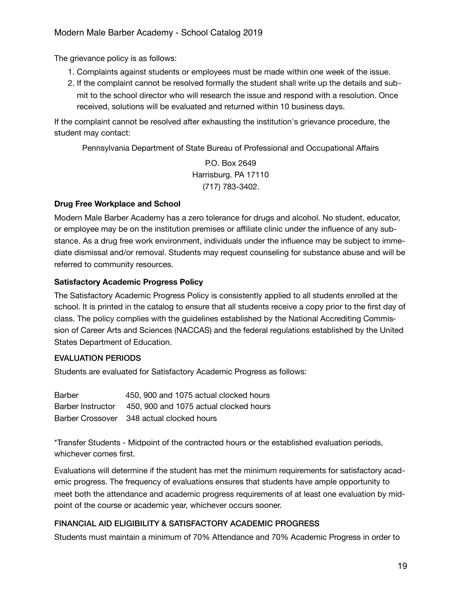The grievance policy is as follows:

- 1. Complaints against students or employees must be made within one week of the issue.
- 2. If the complaint cannot be resolved formally the student shall write up the details and submit to the school director who will research the issue and respond with a resolution. Once received, solutions will be evaluated and returned within 10 business days.

If the complaint cannot be resolved after exhausting the institution's grievance procedure, the student may contact:

Pennsylvania Department of State Bureau of Professional and Occupational Affairs

P.O. Box 2649 Harrisburg. PA 17110 (717) 783-3402.

## **Drug Free Workplace and School**

Modern Male Barber Academy has a zero tolerance for drugs and alcohol. No student, educator, or employee may be on the institution premises or affiliate clinic under the influence of any substance. As a drug free work environment, individuals under the influence may be subject to immediate dismissal and/or removal. Students may request counseling for substance abuse and will be referred to community resources.

## **Satisfactory Academic Progress Policy**

The Satisfactory Academic Progress Policy is consistently applied to all students enrolled at the school. It is printed in the catalog to ensure that all students receive a copy prior to the first day of class. The policy complies with the guidelines established by the National Accrediting Commission of Career Arts and Sciences (NACCAS) and the federal regulations established by the United States Department of Education.

#### EVALUATION PERIODS

Students are evaluated for Satisfactory Academic Progress as follows:

| Barber | 450, 900 and 1075 actual clocked hours                   |
|--------|----------------------------------------------------------|
|        | Barber Instructor 450, 900 and 1075 actual clocked hours |
|        | Barber Crossover 348 actual clocked hours                |

\*Transfer Students - Midpoint of the contracted hours or the established evaluation periods, whichever comes first.

Evaluations will determine if the student has met the minimum requirements for satisfactory academic progress. The frequency of evaluations ensures that students have ample opportunity to meet both the attendance and academic progress requirements of at least one evaluation by midpoint of the course or academic year, whichever occurs sooner.

# FINANCIAL AID ELIGIBILITY & SATISFACTORY ACADEMIC PROGRESS

Students must maintain a minimum of 70% Attendance and 70% Academic Progress in order to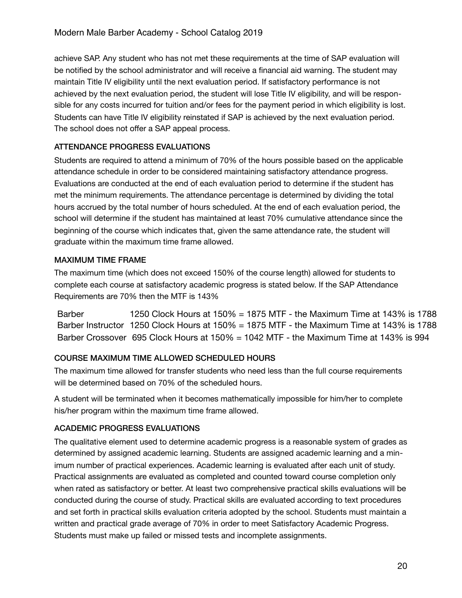achieve SAP. Any student who has not met these requirements at the time of SAP evaluation will be notified by the school administrator and will receive a financial aid warning. The student may maintain Title IV eligibility until the next evaluation period. If satisfactory performance is not achieved by the next evaluation period, the student will lose Title IV eligibility, and will be responsible for any costs incurred for tuition and/or fees for the payment period in which eligibility is lost. Students can have Title IV eligibility reinstated if SAP is achieved by the next evaluation period. The school does not offer a SAP appeal process.

# ATTENDANCE PROGRESS EVALUATIONS

Students are required to attend a minimum of 70% of the hours possible based on the applicable attendance schedule in order to be considered maintaining satisfactory attendance progress. Evaluations are conducted at the end of each evaluation period to determine if the student has met the minimum requirements. The attendance percentage is determined by dividing the total hours accrued by the total number of hours scheduled. At the end of each evaluation period, the school will determine if the student has maintained at least 70% cumulative attendance since the beginning of the course which indicates that, given the same attendance rate, the student will graduate within the maximum time frame allowed.

## MAXIMUM TIME FRAME

The maximum time (which does not exceed 150% of the course length) allowed for students to complete each course at satisfactory academic progress is stated below. If the SAP Attendance Requirements are 70% then the MTF is 143%

1250 Clock Hours at 150% = 1875 MTF - the Maximum Time at 143% is 1788 Barber Instructor 1250 Clock Hours at 150% = 1875 MTF - the Maximum Time at 143% is 1788 Barber Crossover 695 Clock Hours at 150% = 1042 MTF - the Maximum Time at 143% is 994 Barber

# COURSE MAXIMUM TIME ALLOWED SCHEDULED HOURS

The maximum time allowed for transfer students who need less than the full course requirements will be determined based on 70% of the scheduled hours.

A student will be terminated when it becomes mathematically impossible for him/her to complete his/her program within the maximum time frame allowed.

# ACADEMIC PROGRESS EVALUATIONS

The qualitative element used to determine academic progress is a reasonable system of grades as determined by assigned academic learning. Students are assigned academic learning and a minimum number of practical experiences. Academic learning is evaluated after each unit of study. Practical assignments are evaluated as completed and counted toward course completion only when rated as satisfactory or better. At least two comprehensive practical skills evaluations will be conducted during the course of study. Practical skills are evaluated according to text procedures and set forth in practical skills evaluation criteria adopted by the school. Students must maintain a written and practical grade average of 70% in order to meet Satisfactory Academic Progress. Students must make up failed or missed tests and incomplete assignments.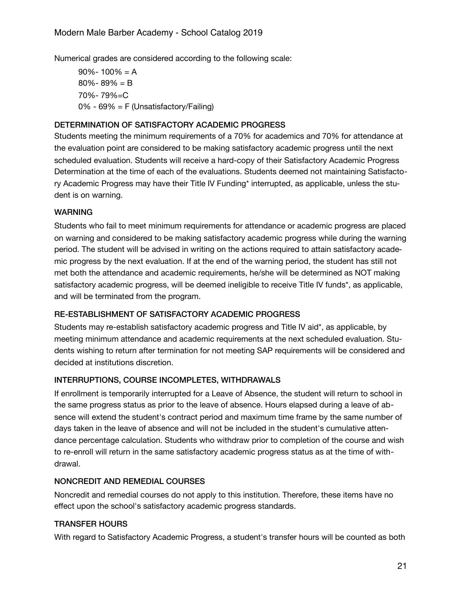Numerical grades are considered according to the following scale:

 $90\% - 100\% = A$ 80%- 89% = B 70%- 79%=C 0% - 69% = F (Unsatisfactory/Failing)

#### DETERMINATION OF SATISFACTORY ACADEMIC PROGRESS

Students meeting the minimum requirements of a 70% for academics and 70% for attendance at the evaluation point are considered to be making satisfactory academic progress until the next scheduled evaluation. Students will receive a hard-copy of their Satisfactory Academic Progress Determination at the time of each of the evaluations. Students deemed not maintaining Satisfactory Academic Progress may have their Title IV Funding\* interrupted, as applicable, unless the student is on warning.

#### **WARNING**

Students who fail to meet minimum requirements for attendance or academic progress are placed on warning and considered to be making satisfactory academic progress while during the warning period. The student will be advised in writing on the actions required to attain satisfactory academic progress by the next evaluation. If at the end of the warning period, the student has still not met both the attendance and academic requirements, he/she will be determined as NOT making satisfactory academic progress, will be deemed ineligible to receive Title IV funds\*, as applicable, and will be terminated from the program.

#### RE-ESTABLISHMENT OF SATISFACTORY ACADEMIC PROGRESS

Students may re-establish satisfactory academic progress and Title IV aid\*, as applicable, by meeting minimum attendance and academic requirements at the next scheduled evaluation. Students wishing to return after termination for not meeting SAP requirements will be considered and decided at institutions discretion.

#### INTERRUPTIONS, COURSE INCOMPLETES, WITHDRAWALS

If enrollment is temporarily interrupted for a Leave of Absence, the student will return to school in the same progress status as prior to the leave of absence. Hours elapsed during a leave of absence will extend the student's contract period and maximum time frame by the same number of days taken in the leave of absence and will not be included in the student's cumulative attendance percentage calculation. Students who withdraw prior to completion of the course and wish to re-enroll will return in the same satisfactory academic progress status as at the time of withdrawal.

#### NONCREDIT AND REMEDIAL COURSES

Noncredit and remedial courses do not apply to this institution. Therefore, these items have no effect upon the school's satisfactory academic progress standards.

#### TRANSFER HOURS

With regard to Satisfactory Academic Progress, a student's transfer hours will be counted as both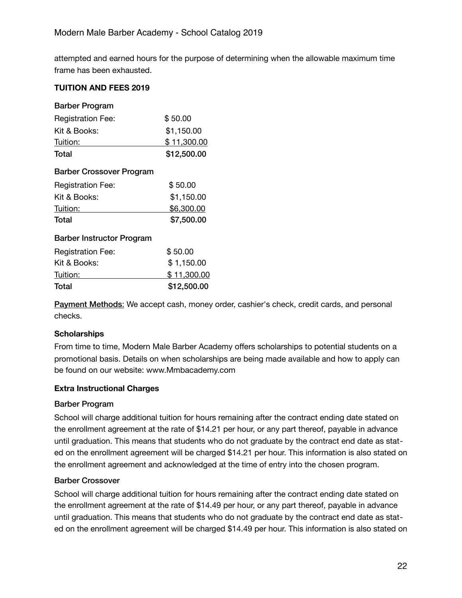attempted and earned hours for the purpose of determining when the allowable maximum time frame has been exhausted.

## **TUITION AND FEES 2019**

| Barber Program                   |             |
|----------------------------------|-------------|
| <b>Registration Fee:</b>         | \$50.00     |
| Kit & Books:                     | \$1,150.00  |
| Tuition:                         | \$11,300.00 |
| Total                            | \$12,500.00 |
| Barber Crossover Program         |             |
| <b>Registration Fee:</b>         | \$50.00     |
| Kit & Books:                     | \$1,150.00  |
| Tuition:                         | \$6,300.00  |
| Total                            | \$7,500.00  |
| <b>Barber Instructor Program</b> |             |
| <b>Registration Fee:</b>         | \$50.00     |
| Kit & Books:                     | \$1,150.00  |
| Tuition:                         | \$11,300.00 |
| Total                            | \$12,500.00 |

Payment Methods: We accept cash, money order, cashier's check, credit cards, and personal checks.

#### **Scholarships**

From time to time, Modern Male Barber Academy offers scholarships to potential students on a promotional basis. Details on when scholarships are being made available and how to apply can be found on our website: www.Mmbacademy.com

#### **Extra Instructional Charges**

#### Barber Program

School will charge additional tuition for hours remaining after the contract ending date stated on the enrollment agreement at the rate of \$14.21 per hour, or any part thereof, payable in advance until graduation. This means that students who do not graduate by the contract end date as stated on the enrollment agreement will be charged \$14.21 per hour. This information is also stated on the enrollment agreement and acknowledged at the time of entry into the chosen program.

#### Barber Crossover

School will charge additional tuition for hours remaining after the contract ending date stated on the enrollment agreement at the rate of \$14.49 per hour, or any part thereof, payable in advance until graduation. This means that students who do not graduate by the contract end date as stated on the enrollment agreement will be charged \$14.49 per hour. This information is also stated on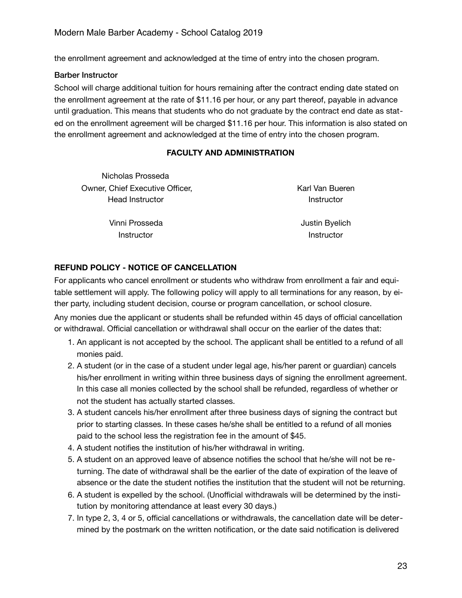the enrollment agreement and acknowledged at the time of entry into the chosen program.

#### Barber Instructor

School will charge additional tuition for hours remaining after the contract ending date stated on the enrollment agreement at the rate of \$11.16 per hour, or any part thereof, payable in advance until graduation. This means that students who do not graduate by the contract end date as stated on the enrollment agreement will be charged \$11.16 per hour. This information is also stated on the enrollment agreement and acknowledged at the time of entry into the chosen program.

#### **FACULTY AND ADMINISTRATION**

Nicholas Prosseda Owner, Chief Executive Officer, Head Instructor

Karl Van Bueren **Instructor** 

Vinni Prosseda **Instructor** 

Justin Byelich **Instructor** 

#### **REFUND POLICY - NOTICE OF CANCELLATION**

For applicants who cancel enrollment or students who withdraw from enrollment a fair and equitable settlement will apply. The following policy will apply to all terminations for any reason, by either party, including student decision, course or program cancellation, or school closure.

Any monies due the applicant or students shall be refunded within 45 days of official cancellation or withdrawal. Official cancellation or withdrawal shall occur on the earlier of the dates that:

- 1. An applicant is not accepted by the school. The applicant shall be entitled to a refund of all monies paid.
- 2. A student (or in the case of a student under legal age, his/her parent or guardian) cancels his/her enrollment in writing within three business days of signing the enrollment agreement. In this case all monies collected by the school shall be refunded, regardless of whether or not the student has actually started classes.
- 3. A student cancels his/her enrollment after three business days of signing the contract but prior to starting classes. In these cases he/she shall be entitled to a refund of all monies paid to the school less the registration fee in the amount of \$45.
- 4. A student notifies the institution of his/her withdrawal in writing.
- 5. A student on an approved leave of absence notifies the school that he/she will not be returning. The date of withdrawal shall be the earlier of the date of expiration of the leave of absence or the date the student notifies the institution that the student will not be returning.
- 6. A student is expelled by the school. (Unofficial withdrawals will be determined by the institution by monitoring attendance at least every 30 days.)
- 7. In type 2, 3, 4 or 5, official cancellations or withdrawals, the cancellation date will be determined by the postmark on the written notification, or the date said notification is delivered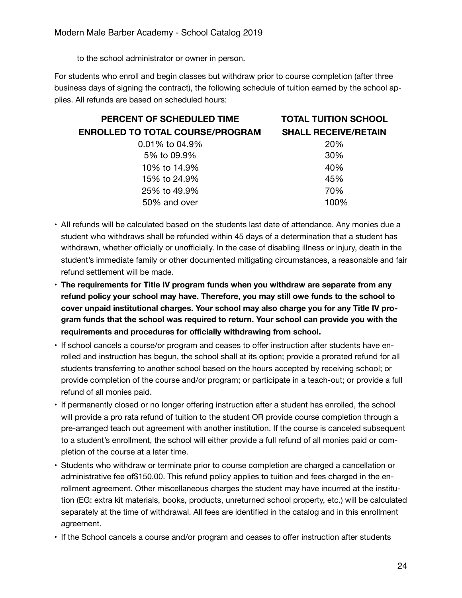to the school administrator or owner in person.

For students who enroll and begin classes but withdraw prior to course completion (after three business days of signing the contract), the following schedule of tuition earned by the school applies. All refunds are based on scheduled hours:

| PERCENT OF SCHEDULED TIME               | <b>TOTAL TUITION SCHOOL</b> |
|-----------------------------------------|-----------------------------|
| <b>ENROLLED TO TOTAL COURSE/PROGRAM</b> | <b>SHALL RECEIVE/RETAIN</b> |
| $0.01\%$ to 04.9%                       | 20%                         |
| 5% to 09.9%                             | 30%                         |
| 10% to 14.9%                            | 40%                         |
| 15% to 24.9%                            | 45%                         |
| 25% to 49.9%                            | 70%                         |
| 50% and over                            | 100%                        |

- AII refunds will be calculated based on the students last date of attendance. Any monies due a student who withdraws shall be refunded within 45 days of a determination that a student has withdrawn, whether officially or unofficially. In the case of disabling illness or injury, death in the student's immediate family or other documented mitigating circumstances, a reasonable and fair refund settlement will be made.
- **The requirements for Title IV program funds when you withdraw are separate from any refund policy your school may have. Therefore, you may still owe funds to the school to cover unpaid institutional charges. Your school may also charge you for any Title IV program funds that the school was required to return. Your school can provide you with the requirements and procedures for officially withdrawing from school.**
- If school cancels a course/or program and ceases to offer instruction after students have enrolled and instruction has begun, the school shall at its option; provide a prorated refund for all students transferring to another school based on the hours accepted by receiving school; or provide completion of the course and/or program; or participate in a teach-out; or provide a full refund of all monies paid.
- If permanently closed or no longer offering instruction after a student has enrolled, the school will provide a pro rata refund of tuition to the student OR provide course completion through a pre-arranged teach out agreement with another institution. If the course is canceled subsequent to a student's enrollment, the school will either provide a full refund of all monies paid or completion of the course at a later time.
- Students who withdraw or terminate prior to course completion are charged a cancellation or administrative fee of\$150.00. This refund policy applies to tuition and fees charged in the enrollment agreement. Other miscellaneous charges the student may have incurred at the institution (EG: extra kit materials, books, products, unreturned school property, etc.) will be calculated separately at the time of withdrawal. All fees are identified in the catalog and in this enrollment agreement.
- If the School cancels a course and/or program and ceases to offer instruction after students